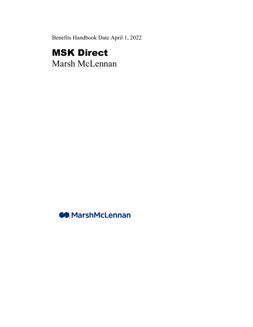Benefits Handbook Date April 1, 2022

# MSK Direct

Marsh McLennan

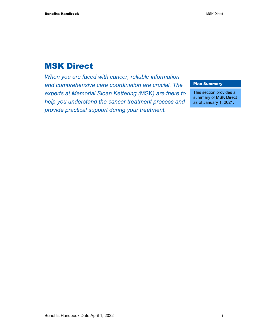# MSK Direct

*When you are faced with cancer, reliable information and comprehensive care coordination are crucial. The experts at Memorial Sloan Kettering (*MSK*) are there to help you understand the cancer treatment process and provide practical support during your treatment.* 

#### Plan Summary

This section provides a summary of MSK Direct as of January 1, 2021.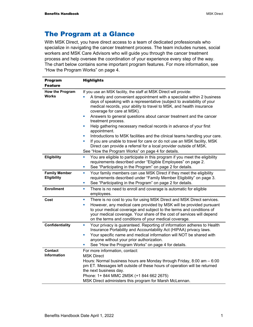# The Program at a Glance

With MSK Direct, you have direct access to a team of dedicated professionals who specialize in navigating the cancer treatment process. The team includes nurses, social workers and MSK Care Advisors who will guide you through the cancer treatment process and help oversee the coordination of your experience every step of the way. The chart below contains some important program features. For more information, see "How the Program Works" on page 4.

| <b>Program</b>                         | <b>Highlights</b>                                                                                                                                                                                                                                                                                                                                                                                                                                                                                                                                                                                                                                                                                                                                                                                                    |
|----------------------------------------|----------------------------------------------------------------------------------------------------------------------------------------------------------------------------------------------------------------------------------------------------------------------------------------------------------------------------------------------------------------------------------------------------------------------------------------------------------------------------------------------------------------------------------------------------------------------------------------------------------------------------------------------------------------------------------------------------------------------------------------------------------------------------------------------------------------------|
| <b>Feature</b>                         |                                                                                                                                                                                                                                                                                                                                                                                                                                                                                                                                                                                                                                                                                                                                                                                                                      |
| <b>How the Program</b><br><b>Works</b> | If you use an MSK facility, the staff at MSK Direct will provide:<br>A timely and convenient appointment with a specialist within 2 business<br>days of speaking with a representative (subject to availability of your<br>medical records, your ability to travel to MSK, and health insurance<br>coverage for care at MSK).<br>Answers to general questions about cancer treatment and the cancer<br>ш<br>treatment process.<br>Help gathering necessary medical records in advance of your first<br>L.<br>appointment.<br>Introductions to MSK facilities and the clinical teams handling your care.<br>L.<br>If you are unable to travel for care or do not use an MSK facility, MSK<br>Direct can provide a referral for a local provider outside of MSK.<br>See "How the Program Works" on page 4 for details. |
| Eligibility                            | You are eligible to participate in this program if you meet the eligibility<br>u,<br>requirements described under "Eligible Employees" on page 2.<br>See "Participating in the Program" on page 2 for details.<br>ш                                                                                                                                                                                                                                                                                                                                                                                                                                                                                                                                                                                                  |
| <b>Family Member</b><br>Eligibility    | Your family members can use MSK Direct if they meet the eligibility<br>$\blacksquare$<br>requirements described under "Family Member Eligibility" on page 3.<br>See "Participating in the Program" on page 2 for details.<br>ш                                                                                                                                                                                                                                                                                                                                                                                                                                                                                                                                                                                       |
| <b>Enrollment</b>                      | There is no need to enroll and coverage is automatic for eligible<br>$\blacksquare$<br>employees.                                                                                                                                                                                                                                                                                                                                                                                                                                                                                                                                                                                                                                                                                                                    |
| Cost                                   | There is no cost to you for using MSK Direct and MSK Direct services.<br>×.<br>However, any medical care provided by MSK will be provided pursuant<br>×<br>to your medical coverage and subject to the terms and conditions of<br>your medical coverage. Your share of the cost of services will depend<br>on the terms and conditions of your medical coverage.                                                                                                                                                                                                                                                                                                                                                                                                                                                     |
| <b>Confidentiality</b>                 | Your privacy is guaranteed. Reporting of information adheres to Health<br>U,<br>Insurance Portability and Accountability Act (HIPAA) privacy laws.<br>Your specific name and medical information will NOT be shared with<br>×<br>anyone without your prior authorization.<br>See "How the Program Works" on page 4 for details.                                                                                                                                                                                                                                                                                                                                                                                                                                                                                      |
| Contact<br><b>Information</b>          | For more information, contact:<br><b>MSK Direct</b><br>Hours: Normal business hours are Monday through Friday, 8:00 am - 6:00<br>pm ET. Messages left outside of these hours of operation will be returned<br>the next business day.<br>Phone: 1+ 844 MMC 2MSK (+1 844 662 2675)<br>MSK Direct administers this program for Marsh McLennan.                                                                                                                                                                                                                                                                                                                                                                                                                                                                          |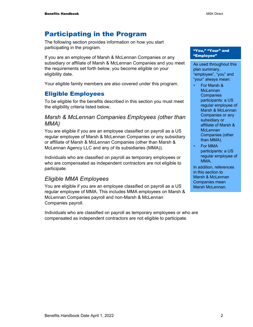# Participating in the Program

The following section provides information on how you start participating in the program.

If you are an employee of Marsh & McLennan Companies or any subsidiary or affiliate of Marsh & McLennan Companies and you meet the requirements set forth below, you become eligible on your eligibility date.

Your eligible family members are also covered under this program.

## Eligible Employees

To be eligible for the benefits described in this section you must meet the eligibility criteria listed below.

## *Marsh & McLennan Companies Employees (other than MMA)*

You are eligible if you are an employee classified on payroll as a US regular employee of Marsh & McLennan Companies or any subsidiary or affiliate of Marsh & McLennan Companies (other than Marsh & McLennan Agency LLC and any of its subsidiaries (MMA)).

Individuals who are classified on payroll as temporary employees or who are compensated as independent contractors are not eligible to participate.

## *Eligible MMA Employees*

You are eligible if you are an employee classified on payroll as a US regular employee of MMA. This includes MMA employees on Marsh & McLennan Companies payroll and non-Marsh & McLennan Companies payroll.

Individuals who are classified on payroll as temporary employees or who are compensated as independent contractors are not eligible to participate.

#### "You," "Your" and "Employee"

As used throughout this plan summary, "employee", "you" and "your" always mean:

- For Marsh & **McLennan Companies** participants: a US regular employee of Marsh & McLennan Companies or any subsidiary or affiliate of Marsh & **McLennan** Companies (other than MMA).
- For MMA participants: a US regular employee of MMA.

In addition, references in this section to Marsh & McLennan Companies mean Marsh McLennan.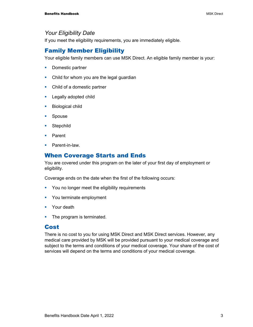#### *Your Eligibility Date*

If you meet the eligibility requirements, you are immediately eligible.

# Family Member Eligibility

Your eligible family members can use MSK Direct. An eligible family member is your:

- **Domestic partner**
- Child for whom you are the legal guardian
- Child of a domestic partner
- **Legally adopted child**
- **Biological child**
- **Spouse**
- **Stepchild**
- **Parent**
- Parent-in-law.

# When Coverage Starts and Ends

You are covered under this program on the later of your first day of employment or eligibility.

Coverage ends on the date when the first of the following occurs:

- **•** You no longer meet the eligibility requirements
- **You terminate employment**
- **•** Your death
- The program is terminated.

#### Cost

There is no cost to you for using MSK Direct and MSK Direct services. However, any medical care provided by MSK will be provided pursuant to your medical coverage and subject to the terms and conditions of your medical coverage. Your share of the cost of services will depend on the terms and conditions of your medical coverage.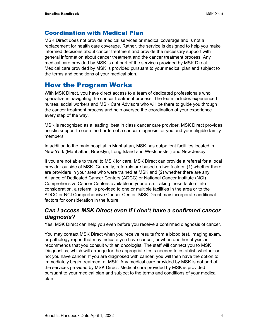# Coordination with Medical Plan

MSK Direct does not provide medical services or medical coverage and is not a replacement for health care coverage. Rather, the service is designed to help you make informed decisions about cancer treatment and provide the necessary support with general information about cancer treatment and the cancer treatment process. Any medical care provided by MSK is not part of the services provided by MSK Direct. Medical care provided by MSK is provided pursuant to your medical plan and subject to the terms and conditions of your medical plan.

# How the Program Works

With MSK Direct, you have direct access to a team of dedicated professionals who specialize in navigating the cancer treatment process. The team includes experienced nurses, social workers and MSK Care Advisors who will be there to guide you through the cancer treatment process and help oversee the coordination of your experience every step of the way.

MSK is recognized as a leading, best in class cancer care provider. MSK Direct provides holistic support to ease the burden of a cancer diagnosis for you and your eligible family members.

In addition to the main hospital in Manhattan, MSK has outpatient facilities located in New York (Manhattan, Brooklyn, Long Island and Westchester) and New Jersey.

If you are not able to travel to MSK for care, MSK Direct can provide a referral for a local provider outside of MSK. Currently, referrals are based on two factors: (1) whether there are providers in your area who were trained at MSK and (2) whether there are any Alliance of Dedicated Cancer Centers (ADCC) or National Cancer Institute (NCI) Comprehensive Cancer Centers available in your area. Taking these factors into consideration, a referral is provided to one or multiple facilities in the area or to the ADCC or NCI Comprehensive Cancer Center. MSK Direct may incorporate additional factors for consideration in the future.

# *Can I access MSK Direct even if I don't have a confirmed cancer diagnosis?*

Yes. MSK Direct can help you even before you receive a confirmed diagnosis of cancer.

You may contact MSK Direct when you receive results from a blood test, imaging exam, or pathology report that may indicate you have cancer, or when another physician recommends that you consult with an oncologist. The staff will connect you to MSK Diagnostics, which will arrange for the appropriate tests needed to establish whether or not you have cancer. If you are diagnosed with cancer, you will then have the option to immediately begin treatment at MSK. Any medical care provided by MSK is not part of the services provided by MSK Direct. Medical care provided by MSK is provided pursuant to your medical plan and subject to the terms and conditions of your medical plan.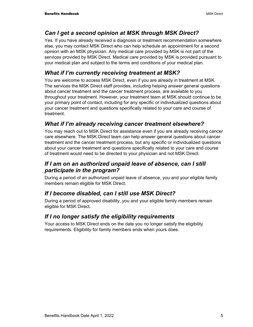# *Can I get a second opinion at MSK through MSK Direct?*

Yes. If you have already received a diagnosis or treatment recommendation somewhere else, you may contact MSK Direct who can help schedule an appointment for a second opinion with an MSK physician. Any medical care provided by MSK is not part of the services provided by MSK Direct*.* Medical care provided by MSK is provided pursuant to your medical plan and subject to the terms and conditions of your medical plan.

# *What if I'm currently receiving treatment at MSK?*

You are welcome to access MSK Direct, even if you are already in treatment at MSK. The services the MSK Direct staff provides, including helping answer general questions about cancer treatment and the cancer treatment process, are available to you throughout your treatment. However, your treatment team at MSK should continue to be your primary point of contact, including for any specific or individualized questions about your cancer treatment and questions specifically related to your care and course of treatment.

# *What if I'm already receiving cancer treatment elsewhere?*

You may reach out to MSK Direct for assistance even if you are already receiving cancer care elsewhere. The MSK Direct team can help answer general questions about cancer treatment and the cancer treatment process, but any specific or individualized questions about your cancer treatment and questions specifically related to your care and course of treatment would need to be directed to your physician and not MSK Direct.

# *If I am on an authorized unpaid leave of absence, can I still participate in the program?*

During a period of an authorized unpaid leave of absence, you and your eligible family members remain eligible for MSK Direct.

# *If I become disabled, can I still use MSK Direct?*

During a period of approved disability, you and your eligible family members remain eligible for MSK Direct.

# *If I no longer satisfy the eligibility requirements*

Your access to MSK Direct ends on the date you no longer satisfy the eligibility requirements. Eligibility for family members ends when yours does.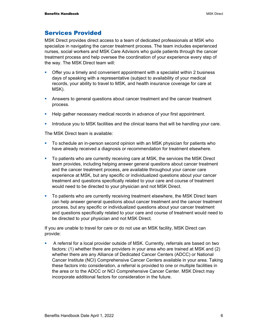# Services Provided

MSK Direct provides direct access to a team of dedicated professionals at MSK who specialize in navigating the cancer treatment process. The team includes experienced nurses, social workers and MSK Care Advisors who guide patients through the cancer treatment process and help oversee the coordination of your experience every step of the way. The MSK Direct team will:

- **•** Offer you a timely and convenient appointment with a specialist within 2 business days of speaking with a representative (subject to availability of your medical records, your ability to travel to MSK, and health insurance coverage for care at MSK).
- Answers to general questions about cancer treatment and the cancer treatment process.
- Help gather necessary medical records in advance of your first appointment.
- Introduce you to MSK facilities and the clinical teams that will be handling your care.

The MSK Direct team is available:

- To schedule an in-person second opinion with an MSK physician for patients who have already received a diagnosis or recommendation for treatment elsewhere.
- To patients who are currently receiving care at MSK, the services the MSK Direct team provides, including helping answer general questions about cancer treatment and the cancer treatment process, are available throughout your cancer care experience at MSK, but any specific or individualized questions about your cancer treatment and questions specifically related to your care and course of treatment would need to be directed to your physician and not MSK Direct.
- To patients who are currently receiving treatment elsewhere, the MSK Direct team can help answer general questions about cancer treatment and the cancer treatment process, but any specific or individualized questions about your cancer treatment and questions specifically related to your care and course of treatment would need to be directed to your physician and not MSK Direct*.*

If you are unable to travel for care or do not use an MSK facility, MSK Direct can provide:

 A referral for a local provider outside of MSK. Currently, referrals are based on two factors: (1) whether there are providers in your area who are trained at MSK and (2) whether there are any Alliance of Dedicated Cancer Centers (ADCC) or National Cancer Institute (NCI) Comprehensive Cancer Centers available in your area. Taking these factors into consideration, a referral is provided to one or multiple facilities in the area or to the ADCC or NCI Comprehensive Cancer Center. MSK Direct may incorporate additional factors for consideration in the future.